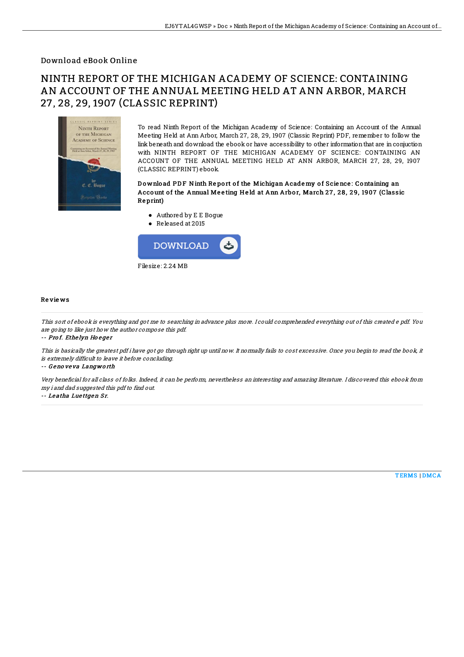### Download eBook Online

# NINTH REPORT OF THE MICHIGAN ACADEMY OF SCIENCE: CONTAINING AN ACCOUNT OF THE ANNUAL MEETING HELD AT ANN ARBOR, MARCH 27, 28, 29, 1907 (CLASSIC REPRINT)



To read Ninth Report of the Michigan Academy of Science: Containing an Account of the Annual Meeting Held at Ann Arbor, March 27, 28, 29, 1907 (Classic Reprint) PDF, remember to follow the link beneath and download the ebook or have accessibility to other information that are in conjuction with NINTH REPORT OF THE MICHIGAN ACADEMY OF SCIENCE: CONTAINING AN ACCOUNT OF THE ANNUAL MEETING HELD AT ANN ARBOR, MARCH 27, 28, 29, 1907 (CLASSIC REPRINT) ebook.

#### Download PDF Ninth Report of the Michigan Academy of Science: Containing an Account of the Annual Meeting Held at Ann Arbor, March 27, 28, 29, 1907 (Classic Re print)

- Authored by E E Bogue
- Released at 2015



#### Re vie ws

This sort of ebook is everything and got me to searching in advance plus more. I could comprehended everything out of this created <sup>e</sup> pdf. You are going to like just how the author compose this pdf.

-- Pro f. Ethe lyn Ho <sup>e</sup> ge <sup>r</sup>

This is basically the greatest pdf i have got go through right up until now. It normally fails to cost excessive. Once you begin to read the book, it is extremely difficult to leave it before concluding.

-- G eno ve va Langwo rth

Very beneficial for all class of folks. Indeed, it can be perform, nevertheless an interesting and amazing literature. I discovered this ebook from my i and dad suggested this pdf to find out.

-- Leatha Luettgen Sr.